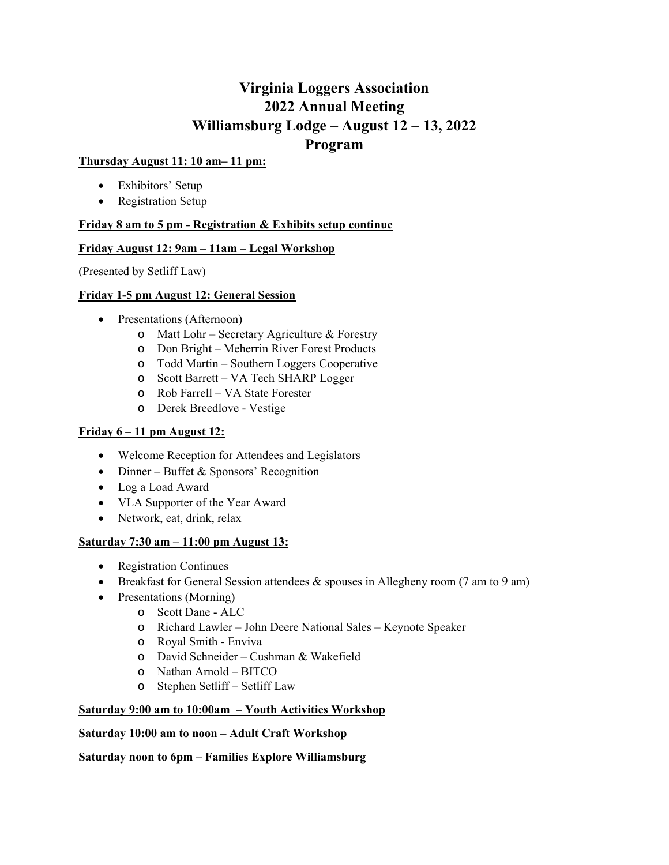# **Virginia Loggers Association 2022 Annual Meeting Williamsburg Lodge – August 12 – 13, 2022 Program**

### **Thursday August 11: 10 am– 11 pm:**

- Exhibitors' Setup
- Registration Setup

## **Friday 8 am to 5 pm - Registration & Exhibits setup continue**

## **Friday August 12: 9am – 11am – Legal Workshop**

(Presented by Setliff Law)

#### **Friday 1-5 pm August 12: General Session**

- Presentations (Afternoon)
	- o Matt Lohr Secretary Agriculture & Forestry
	- o Don Bright Meherrin River Forest Products
	- o Todd Martin Southern Loggers Cooperative
	- o Scott Barrett VA Tech SHARP Logger
	- o Rob Farrell VA State Forester
	- o Derek Breedlove Vestige

## **Friday 6 – 11 pm August 12:**

- Welcome Reception for Attendees and Legislators
- Dinner Buffet & Sponsors' Recognition
- Log a Load Award
- VLA Supporter of the Year Award
- Network, eat, drink, relax

#### **Saturday 7:30 am – 11:00 pm August 13:**

- Registration Continues
- **Breakfast for General Session attendees & spouses in Allegheny room (7 am to 9 am)**
- Presentations (Morning)
	- o Scott Dane ALC
	- o Richard Lawler John Deere National Sales Keynote Speaker
	- o Royal Smith Enviva
	- o David Schneider Cushman & Wakefield
	- o Nathan Arnold BITCO
	- o Stephen Setliff Setliff Law

#### **Saturday 9:00 am to 10:00am – Youth Activities Workshop**

#### **Saturday 10:00 am to noon – Adult Craft Workshop**

#### **Saturday noon to 6pm – Families Explore Williamsburg**